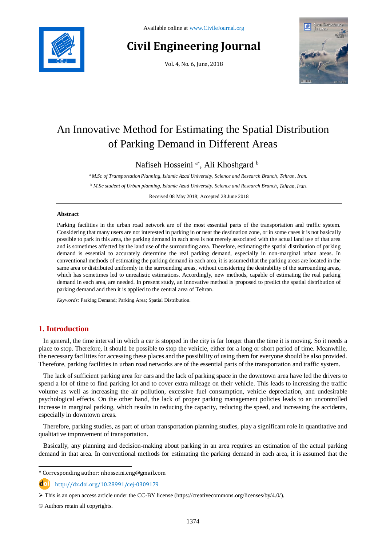

# **Civil Engineering Journal**

Vol. 4, No. 6, June, 2018



# An Innovative Method for Estimating the Spatial Distribution of Parking Demand in Different Areas

Nafiseh Hosseini<sup>a\*</sup>, Ali Khoshgard<sup>b</sup>

*<sup>a</sup>M.Sc of Transportation Planning, Islamic Azad , University, Science and Research Branch, Tehran, Iran.*

*<sup>b</sup> M.Sc student of Urban planning, Islamic Azad University, Science and Research Branch, Tehran, Iran.*

Received 08 May 2018; Accepted 28 June 2018

### **Abstract**

Parking facilities in the urban road network are of the most essential parts of the transportation and traffic system. Considering that many users are not interested in parking in or near the destination zone, or in some cases it is not basically possible to park in this area, the parking demand in each area is not merely associated with the actual land use of that area and is sometimes affected by the land use of the surrounding area. Therefore, estimating the spatial distribution of parking demand is essential to accurately determine the real parking demand, especially in non-marginal urban areas. In conventional methods of estimating the parking demand in each area, it is assumed that the parking areas are located in the same area or distributed uniformly in the surrounding areas, without considering the desirability of the surrounding areas, which has sometimes led to unrealistic estimations. Accordingly, new methods, capable of estimating the real parking demand in each area, are needed. In present study, an innovative method is proposed to predict the spatial distribution of parking demand and then it is applied to the central area of Tehran.

*Keywords:* Parking Demand; Parking Area; Spatial Distribution.

# **1. Introduction**

In general, the time interval in which a car is stopped in the city is far longer than the time it is moving. So it needs a place to stop. Therefore, it should be possible to stop the vehicle, either for a long or short period of time. Meanwhile, the necessary facilities for accessing these places and the possibility of using them for everyone should be also provided. Therefore, parking facilities in urban road networks are of the essential parts of the transportation and traffic system.

The lack of sufficient parking area for cars and the lack of parking space in the downtown area have led the drivers to spend a lot of time to find parking lot and to cover extra mileage on their vehicle. This leads to increasing the traffic volume as well as increasing the air pollution, excessive fuel consumption, vehicle depreciation, and undesirable psychological effects. On the other hand, the lack of proper parking management policies leads to an uncontrolled increase in marginal parking, which results in reducing the capacity, reducing the speed, and increasing the accidents, especially in downtown areas.

Therefore, parking studies, as part of urban transportation planning studies, play a significant role in quantitative and qualitative improvement of transportation.

Basically, any planning and decision-making about parking in an area requires an estimation of the actual parking demand in that area. In conventional methods for estimating the parking demand in each area, it is assumed that the

http://dx.doi.org/10.28991/cej-0309179

© Authors retain all copyrights.

l

<sup>\*</sup> Corresponding author: nhosseini.eng@gmail.com

 $\triangleright$  This is an open access article under the CC-BY license [\(https://creativecommons.org/licenses/by/4.0/\)](https://creativecommons.org/licenses/by/4.0/).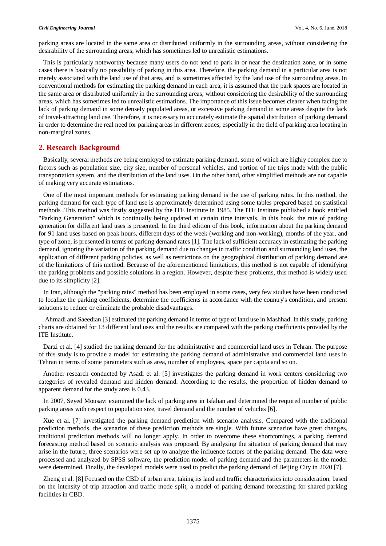parking areas are located in the same area or distributed uniformly in the surrounding areas, without considering the desirability of the surrounding areas, which has sometimes led to unrealistic estimations.

This is particularly noteworthy because many users do not tend to park in or near the destination zone, or in some cases there is basically no possibility of parking in this area. Therefore, the parking demand in a particular area is not merely associated with the land use of that area, and is sometimes affected by the land use of the surrounding areas. In conventional methods for estimating the parking demand in each area, it is assumed that the park spaces are located in the same area or distributed uniformly in the surrounding areas, without considering the desirability of the surrounding areas, which has sometimes led to unrealistic estimations. The importance of this issue becomes clearer when facing the lack of parking demand in some densely populated areas, or excessive parking demand in some areas despite the lack of travel-attracting land use. Therefore, it is necessary to accurately estimate the spatial distribution of parking demand in order to determine the real need for parking areas in different zones, especially in the field of parking area locating in non-marginal zones.

### **2. Research Background**

Basically, several methods are being employed to estimate parking demand, some of which are highly complex due to factors such as population size, city size, number of personal vehicles, and portion of the trips made with the public transportation system, and the distribution of the land uses. On the other hand, other simplified methods are not capable of making very accurate estimations.

One of the most important methods for estimating parking demand is the use of parking rates. In this method, the parking demand for each type of land use is approximately determined using some tables prepared based on statistical methods .This method was firstly suggested by the ITE Institute in 1985. The ITE Institute published a book entitled "Parking Generation" which is continually being updated at certain time intervals. In this book, the rate of parking generation for different land uses is presented. In the third edition of this book, information about the parking demand for 91 land uses based on peak hours, different days of the week (working and non-working), months of the year, and type of zone, is presented in terms of parking demand rates [1]. The lack of sufficient accuracy in estimating the parking demand, ignoring the variation of the parking demand due to changes in traffic condition and surrounding land uses, the application of different parking policies, as well as restrictions on the geographical distribution of parking demand are of the limitations of this method. Because of the aforementioned limitations, this method is not capable of identifying the parking problems and possible solutions in a region. However, despite these problems, this method is widely used due to its simplicity [2].

In Iran, although the "parking rates" method has been employed in some cases, very few studies have been conducted to localize the parking coefficients, determine the coefficients in accordance with the country's condition, and present solutions to reduce or eliminate the probable disadvantages.

Ahmadi and Saeedian [3] estimated the parking demand in terms of type of land use in Mashhad. In this study, parking charts are obtained for 13 different land uses and the results are compared with the parking coefficients provided by the ITE Institute.

Darzi et al. [4] studied the parking demand for the administrative and commercial land uses in Tehran. The purpose of this study is to provide a model for estimating the parking demand of administrative and commercial land uses in Tehran in terms of some parameters such as area, number of employees, space per capita and so on.

Another research conducted by Asadi et al. [5] investigates the parking demand in work centers considering two categories of revealed demand and hidden demand. According to the results, the proportion of hidden demand to apparent demand for the study area is 0.43.

In 2007, Seyed Mousavi examined the lack of parking area in Isfahan and determined the required number of public parking areas with respect to population size, travel demand and the number of vehicles [6].

[Xue](https://ascelibrary.org/author/Xue%2C+Yong) et al. [7] investigated the parking demand prediction with scenario analysis. Compared with the traditional prediction methods, the scenarios of these prediction methods are single. With future scenarios have great changes, traditional prediction methods will no longer apply. In order to overcome these shortcomings, a parking demand forecasting method based on scenario analysis was proposed. By analyzing the situation of parking demand that may arise in the future, three scenarios were set up to analyze the influence factors of the parking demand. The data were processed and analyzed by SPSS software, the prediction model of parking demand and the parameters in the model were determined. Finally, the developed models were used to predict the parking demand of Beijing City in 2020 [7].

[Zheng](https://ascelibrary.org/author/Zheng%2C+Jingheng) et al. [8] Focused on the CBD of urban area, taking its land and traffic characteristics into consideration, based on the intensity of trip attraction and traffic mode split, a model of parking demand forecasting for shared parking facilities in CBD.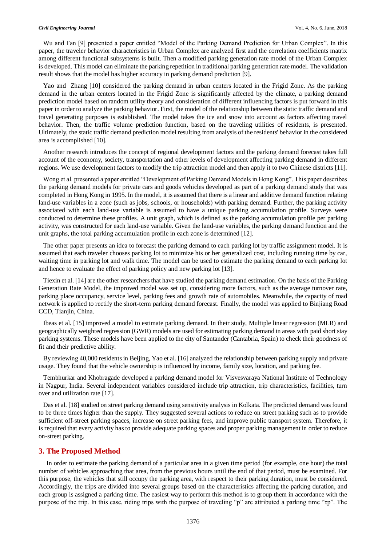[Wu](https://ascelibrary.org/author/Wu%2C+Zhizhou) and [Fan](https://ascelibrary.org/author/Fan%2C+Yujie) [9] presented a paper entitled "Model of the Parking Demand Prediction for Urban Complex". In this paper, the traveler behavior characteristics in Urban Complex are analyzed first and the correlation coefficients matrix among different functional subsystems is built. Then a modified parking generation rate model of the Urban Complex is developed. This model can eliminate the parking repetition in traditional parking generation rate model. The validation result shows that the model has higher accuracy in parking demand prediction [9].

[Yao](https://ascelibrary.org/author/Yao%2C+Xu) and [Zhang](https://ascelibrary.org/author/Zhang%2C+Yaping) [10] considered the parking demand in urban centers located in the Frigid Zone. As the parking demand in the urban centers located in the Frigid Zone is significantly affected by the climate, a parking demand prediction model based on random utility theory and consideration of different influencing factors is put forward in this paper in order to analyze the parking behavior. First, the model of the relationship between the static traffic demand and travel generating purposes is established. The model takes the ice and snow into account as factors affecting travel behavior. Then, the traffic volume prediction function, based on the traveling utilities of residents, is presented. Ultimately, the static traffic demand prediction model resulting from analysis of the residents' behavior in the considered area is accomplished [10].

Another research introduces the concept of regional development factors and the parking demand forecast takes full account of the economy, society, transportation and other levels of development affecting parking demand in different regions. We use development factors to modify the trip attraction model and then apply it to two Chinese districts [11].

[Wong](https://ascelibrary.org/author/Wong%2C+S+C) et al. presented a paper entitled "Development of Parking Demand Models in Hong Kong". This paper describes the parking demand models for private cars and goods vehicles developed as part of a parking demand study that was completed in Hong Kong in 1995. In the model, it is assumed that there is a linear and additive demand function relating land-use variables in a zone (such as jobs, schools, or households) with parking demand. Further, the parking activity associated with each land-use variable is assumed to have a unique parking accumulation profile. Surveys were conducted to determine these profiles. A unit graph, which is defined as the parking accumulation profile per parking activity, was constructed for each land-use variable. Given the land-use variables, the parking demand function and the unit graphs, the total parking accumulation profile in each zone is determined [12].

The other paper presents an idea to forecast the parking demand to each parking lot by traffic assignment model. It is assumed that each traveler chooses parking lot to minimize his or her generalized cost, including running time by car, waiting time in parking lot and walk time. The model can be used to estimate the parking demand to each parking lot and hence to evaluate the effect of parking policy and new parking lot [13].

Tiexin et al. [14] are the other researchers that have studied the parking demand estimation. On the basis of the Parking Generation Rate Model, the improved model was set up, considering more factors, such as the average turnover rate, parking place occupancy, service level, parking fees and growth rate of automobiles. Meanwhile, the capacity of road network is applied to rectify the short-term parking demand forecast. Finally, the model was applied to Binjiang Road CCD, Tianjin, China.

Ibeas et al. [15] improved a model to estimate parking demand. In their study, Multiple linear regression (MLR) and geographically weighted regression (GWR) models are used for estimating parking demand in areas with paid short stay parking systems. These models have been applied to the city of Santander (Cantabria, Spain) to check their goodness of fit and their predictive ability.

By reviewing 40,000 residents in Beijing, Yao et al. [16] analyzed the relationship between parking supply and private usage. They found that the vehicle ownership is influenced by income, family size, location, and parking fee.

Tembhurkar and Khobragade developed a parking demand model for Visvesvaraya National Institute of Technology in Nagpur, India. Several independent variables considered include trip attraction, trip characteristics, facilities, turn over and utilization rate [17].

Das et al. [18] studied on street parking demand using sensitivity analysis in Kolkata. The predicted demand was found to be three times higher than the supply. They suggested several actions to reduce on street parking such as to provide sufficient off-street parking spaces, increase on street parking fees, and improve public transport system. Therefore, it is required that every activity has to provide adequate parking spaces and proper parking management in order to reduce on-street parking.

## **3. The Proposed Method**

In order to estimate the parking demand of a particular area in a given time period (for example, one hour) the total number of vehicles approaching that area, from the previous hours until the end of that period, must be examined. For this purpose, the vehicles that still occupy the parking area, with respect to their parking duration, must be considered. Accordingly, the trips are divided into several groups based on the characteristics affecting the parking duration, and each group is assigned a parking time. The easiest way to perform this method is to group them in accordance with the purpose of the trip. In this case, riding trips with the purpose of traveling "p" are attributed a parking time "τp". The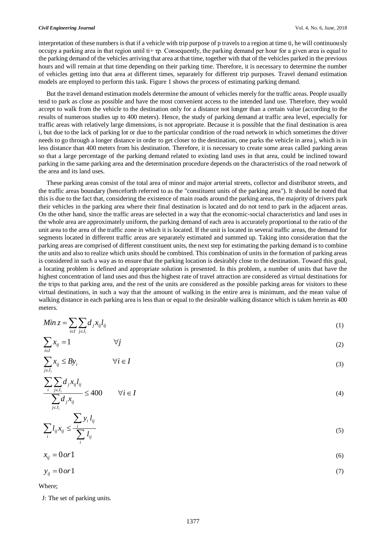#### *Civil Engineering Journal* Vol. 4, No. 6, June, 2018

interpretation of these numbers is that if a vehicle with trip purpose of p travels to a region at time ti, he will continuously occupy a parking area in that region until ti+  $\tau$ p. Consequently, the parking demand per hour for a given area is equal to the parking demand of the vehicles arriving that area at that time, together with that of the vehicles parked in the previous hours and will remain at that time depending on their parking time. Therefore, it is necessary to determine the number of vehicles getting into that area at different times, separately for different trip purposes. Travel demand estimation models are employed to perform this task. Figure 1 shows the process of estimating parking demand.

But the travel demand estimation models determine the amount of vehicles merely for the traffic areas. People usually tend to park as close as possible and have the most convenient access to the intended land use. Therefore, they would accept to walk from the vehicle to the destination only for a distance not longer than a certain value (according to the results of numerous studies up to 400 meters). Hence, the study of parking demand at traffic area level, especially for traffic areas with relatively large dimensions, is not appropriate. Because it is possible that the final destination is area i, but due to the lack of parking lot or due to the particular condition of the road network in which sometimes the driver needs to go through a longer distance in order to get closer to the destination, one parks the vehicle in area j, which is in less distance than 400 meters from his destination. Therefore, it is necessary to create some areas called parking areas so that a large percentage of the parking demand related to existing land uses in that area, could be inclined toward parking in the same parking area and the determination procedure depends on the characteristics of the road network of the area and its land uses.

These parking areas consist of the total area of minor and major arterial streets, collector and distributor streets, and the traffic areas boundary (henceforth referred to as the "constituent units of the parking area"). It should be noted that this is due to the fact that, considering the existence of main roads around the parking areas, the majority of drivers park their vehicles in the parking area where their final destination is located and do not tend to park in the adjacent areas. On the other hand, since the traffic areas are selected in a way that the economic-social characteristics and land uses in the whole area are approximately uniform, the parking demand of each area is accurately proportional to the ratio of the unit area to the area of the traffic zone in which it is located. If the unit is located in several traffic areas, the demand for segments located in different traffic areas are separately estimated and summed up. Taking into consideration that the parking areas are comprised of different constituent units, the next step for estimating the parking demand is to combine the units and also to realize which units should be combined. This combination of units in the formation of parking areas is considered in such a way as to ensure that the parking location is desirably close to the destination. Toward this goal, a locating problem is defined and appropriate solution is presented. In this problem, a number of units that have the highest concentration of land uses and thus the highest rate of travel attraction are considered as virtual destinations for the trips to that parking area, and the rest of the units are considered as the possible parking areas for visitors to these virtual destinations, in such a way that the amount of walking in the entire area is minimum, and the mean value of walking distance in each parking area is less than or equal to the desirable walking distance which is taken herein as 400 meters.

$$
Min z = \sum_{i \in I} \sum_{j \in J_i} d_j x_{ij} l_{ij}
$$
\n<sup>(1)</sup>

$$
\sum_{i \in I} x_{ij} = 1 \qquad \qquad \forall j \tag{2}
$$

$$
\sum_{j \in J_i} x_{ij} \leq By_i \qquad \forall i \in I
$$
\n(3)

$$
\frac{\sum_{i} \sum_{j \in J_i} d_j x_{ij} l_{ij}}{\sum_{j \in J_i} d_j x_{ij}} \le 400 \qquad \forall i \in I
$$
\n(4)

$$
\sum_{i} l_{ij} x_{ij} \le \frac{\sum_{i} y_i l_{ij}}{\sum_{i} l_{ij}} \tag{5}
$$

$$
x_{ij} = 0 \text{ or } 1 \tag{6}
$$

$$
y_{ij} = 0 \text{ or } 1 \tag{7}
$$

Where;

J: The set of parking units.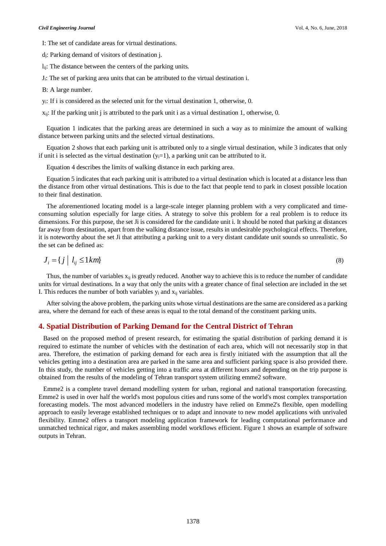I: The set of candidate areas for virtual destinations.

dj: Parking demand of visitors of destination j.

l<sub>ij</sub>: The distance between the centers of the parking units.

Ji: The set of parking area units that can be attributed to the virtual destination i.

B: A large number.

yi: If i is considered as the selected unit for the virtual destination 1, otherwise, 0.

 $x_{ii}$ : If the parking unit j is attributed to the park unit i as a virtual destination 1, otherwise, 0.

Equation 1 indicates that the parking areas are determined in such a way as to minimize the amount of walking distance between parking units and the selected virtual destinations.

Equation 2 shows that each parking unit is attributed only to a single virtual destination, while 3 indicates that only if unit i is selected as the virtual destination  $(y_i=1)$ , a parking unit can be attributed to it.

Equation 4 describes the limits of walking distance in each parking area.

Equation 5 indicates that each parking unit is attributed to a virtual destination which is located at a distance less than the distance from other virtual destinations. This is due to the fact that people tend to park in closest possible location to their final destination.

The aforementioned locating model is a large-scale integer planning problem with a very complicated and timeconsuming solution especially for large cities. A strategy to solve this problem for a real problem is to reduce its dimensions. For this purpose, the set Ji is considered for the candidate unit i. It should be noted that parking at distances far away from destination, apart from the walking distance issue, results in undesirable psychological effects. Therefore, it is noteworthy about the set Ji that attributing a parking unit to a very distant candidate unit sounds so unrealistic. So the set can be defined as:

$$
J_i = \{ j \mid l_{ij} \le 1km \}
$$
\n<sup>(8)</sup>

Thus, the number of variables  $x_{ii}$  is greatly reduced. Another way to achieve this is to reduce the number of candidate units for virtual destinations. In a way that only the units with a greater chance of final selection are included in the set I. This reduces the number of both variables  $y_i$  and  $x_{ij}$  variables.

After solving the above problem, the parking units whose virtual destinations are the same are considered as a parking area, where the demand for each of these areas is equal to the total demand of the constituent parking units.

# **4. Spatial Distribution of Parking Demand for the Central District of Tehran**

Based on the proposed method of present research, for estimating the spatial distribution of parking demand it is required to estimate the number of vehicles with the destination of each area, which will not necessarily stop in that area. Therefore, the estimation of parking demand for each area is firstly initiated with the assumption that all the vehicles getting into a destination area are parked in the same area and sufficient parking space is also provided there. In this study, the number of vehicles getting into a traffic area at different hours and depending on the trip purpose is obtained from the results of the modeling of Tehran transport system utilizing emme2 software.

Emme2 is a complete travel demand modelling system for urban, regional and national transportation forecasting. Emme2 is used in over half the world's most populous cities and runs some of the world's most complex transportation forecasting models. The most advanced modellers in the industry have relied on Emme2's flexible, open modelling approach to easily leverage established techniques or to adapt and innovate to new model applications with unrivaled flexibility. Emme2 offers a transport modeling application framework for leading computational performance and unmatched technical rigor, and makes assembling model workflows efficient. Figure 1 shows an example of software outputs in Tehran.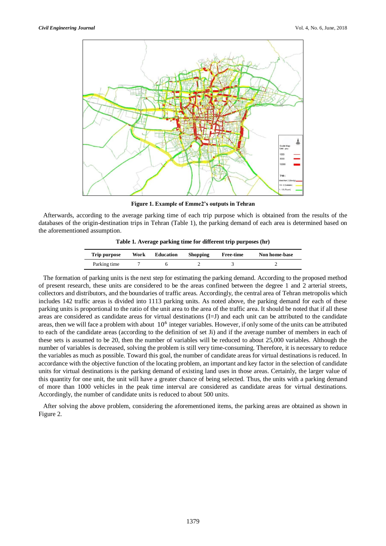

**Figure 1. Example of Emme2's outputs in Tehran**

Afterwards, according to the average parking time of each trip purpose which is obtained from the results of the databases of the origin-destination trips in Tehran (Table 1), the parking demand of each area is determined based on the aforementioned assumption.

**Table 1. Average parking time for different trip purposes (hr)**

| Trip purpose | Work | <b>Education</b> | <b>Shopping</b> | <b>Free-time</b> | Non home-base |
|--------------|------|------------------|-----------------|------------------|---------------|
| Parking time |      |                  |                 |                  |               |

The formation of parking units is the next step for estimating the parking demand. According to the proposed method of present research, these units are considered to be the areas confined between the degree 1 and 2 arterial streets, collectors and distributors, and the boundaries of traffic areas. Accordingly, the central area of Tehran metropolis which includes 142 traffic areas is divided into 1113 parking units. As noted above, the parking demand for each of these parking units is proportional to the ratio of the unit area to the area of the traffic area. It should be noted that if all these areas are considered as candidate areas for virtual destinations (I=J) and each unit can be attributed to the candidate areas, then we will face a problem with about  $10^6$  integer variables. However, if only some of the units can be attributed to each of the candidate areas (according to the definition of set Ji) and if the average number of members in each of these sets is assumed to be 20, then the number of variables will be reduced to about 25,000 variables. Although the number of variables is decreased, solving the problem is still very time-consuming. Therefore, it is necessary to reduce the variables as much as possible. Toward this goal, the number of candidate areas for virtual destinations is reduced. In accordance with the objective function of the locating problem, an important and key factor in the selection of candidate units for virtual destinations is the parking demand of existing land uses in those areas. Certainly, the larger value of this quantity for one unit, the unit will have a greater chance of being selected. Thus, the units with a parking demand of more than 1000 vehicles in the peak time interval are considered as candidate areas for virtual destinations. Accordingly, the number of candidate units is reduced to about 500 units.

After solving the above problem, considering the aforementioned items, the parking areas are obtained as shown in Figure 2.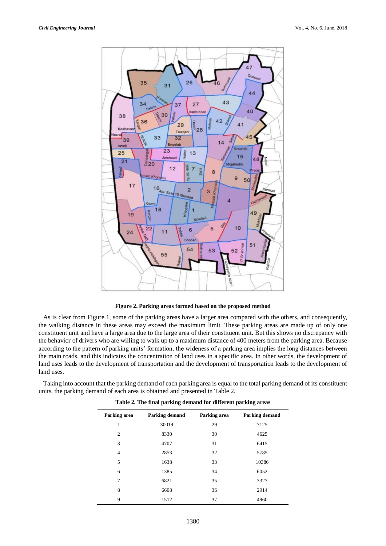

**Figure 2. Parking areas formed based on the proposed method** 

As is clear from Figure 1, some of the parking areas have a larger area compared with the others, and consequently, the walking distance in these areas may exceed the maximum limit. These parking areas are made up of only one constituent unit and have a large area due to the large area of their constituent unit. But this shows no discrepancy with the behavior of drivers who are willing to walk up to a maximum distance of 400 meters from the parking area. Because according to the pattern of parking units' formation, the wideness of a parking area implies the long distances between the main roads, and this indicates the concentration of land uses in a specific area. In other words, the development of land uses leads to the development of transportation and the development of transportation leads to the development of land uses.

Taking into account that the parking demand of each parking area is equal to the total parking demand of its constituent units, the parking demand of each area is obtained and presented in Table 2.

| Parking area   | Parking demand | Parking area | Parking demand |
|----------------|----------------|--------------|----------------|
| 1              | 30019          | 29           | 7125           |
| 2              | 8330           | 30           | 4625           |
| 3              | 4707           | 31           | 6415           |
| $\overline{4}$ | 2853           | 32           | 5785           |
| 5              | 1638           | 33           | 10386          |
| 6              | 1385           | 34           | 6052           |
| 7              | 6821           | 35           | 3327           |
| 8              | 6608           | 36           | 2914           |
| 9              | 1512           | 37           | 4960           |

**Table 2. The final parking demand for different parking areas**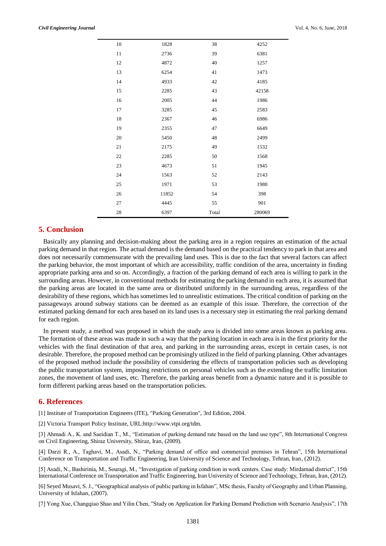| 10 | 1828  | 38    | 4252   |
|----|-------|-------|--------|
| 11 | 2736  | 39    | 6381   |
| 12 | 4872  | 40    | 1257   |
| 13 | 6254  | 41    | 1473   |
| 14 | 4933  | 42    | 4185   |
| 15 | 2285  | 43    | 42158  |
| 16 | 2005  | 44    | 1986   |
| 17 | 3285  | 45    | 2583   |
| 18 | 2367  | 46    | 6986   |
| 19 | 2355  | 47    | 6649   |
| 20 | 5450  | 48    | 2499   |
| 21 | 2175  | 49    | 1532   |
| 22 | 2285  | 50    | 1568   |
| 23 | 4673  | 51    | 1945   |
| 24 | 1563  | 52    | 2143   |
| 25 | 1971  | 53    | 1980   |
| 26 | 11852 | 54    | 398    |
| 27 | 4445  | 55    | 901    |
| 28 | 6397  | Total | 280069 |

# **5. Conclusion**

Basically any planning and decision-making about the parking area in a region requires an estimation of the actual parking demand in that region. The actual demand is the demand based on the practical tendency to park in that area and does not necessarily commensurate with the prevailing land uses. This is due to the fact that several factors can affect the parking behavior, the most important of which are accessibility, traffic condition of the area, uncertainty in finding appropriate parking area and so on. Accordingly, a fraction of the parking demand of each area is willing to park in the surrounding areas. However, in conventional methods for estimating the parking demand in each area, it is assumed that the parking areas are located in the same area or distributed uniformly in the surrounding areas, regardless of the desirability of these regions, which has sometimes led to unrealistic estimations. The critical condition of parking on the passageways around subway stations can be deemed as an example of this issue. Therefore, the correction of the estimated parking demand for each area based on its land uses is a necessary step in estimating the real parking demand for each region.

In present study, a method was proposed in which the study area is divided into some areas known as parking area. The formation of these areas was made in such a way that the parking location in each area is in the first priority for the vehicles with the final destination of that area, and parking in the surrounding areas, except in certain cases, is not desirable. Therefore, the proposed method can be promisingly utilized in the field of parking planning. Other advantages of the proposed method include the possibility of considering the effects of transportation policies such as developing the public transportation system, imposing restrictions on personal vehicles such as the extending the traffic limitation zones, the movement of land uses, etc. Therefore, the parking areas benefit from a dynamic nature and it is possible to form different parking areas based on the transportation policies.

# **6. References**

[1] Institute of Transportation Engineers (ITE), "Parking Generation", 3rd Edition, 2004.

[2] Victoria Transport Policy Institute, URL:http://www.vtpi.org/tdm.

[3] Ahmadi A., K. and Saeidian T., M., "Estimation of parking demand rate based on the land use type", 8th International Congress on Civil Engineering, Shiraz University, Shiraz, Iran, (2009).

[4] Darzi R., A., Taghavi, M., Asadi, N., "Parking demand of office and commercial premises in Tehran", 15th International Conference on Transportation and Traffic Engineering, Iran University of Science and Technology, Tehran, Iran, (2012).

[5] Asadi, N., Bashirinia, M., Souragi, M., "Investigation of parking condition in work centers. Case study: Mirdamad district", 15th International Conference on Transportation and Traffic Engineering, Iran University of Science and Technology, Tehran, Iran, (2012).

[6] Seyed Musavi, S. J., "Geographical analysis of public parking in Isfahan", MSc thesis, Faculty of Geography and Urban Planning, University of Isfahan, (2007).

[7] Yong Xue, Changqiao Shao and Yilin Chen, "Study on Application for Parking Demand Prediction with Scenario Analysis", 17th